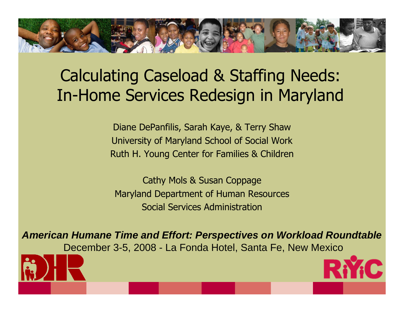#### Calculating Caseload & Staffing Needs: In-Home Services Redesign in Maryland

Diane DePanfilis, Sarah Kaye, & Terry Shaw University of Maryland School of Social Work Ruth H. Young Center for Families & Children

Cathy Mols & Susan Coppage Maryland Department of Human Resources Social Services Administration

*American Humane Time and Effort: Perspectives on Workload Roundtable* December 3-5, 2008 - La Fonda Hotel, Santa Fe, New Mexico



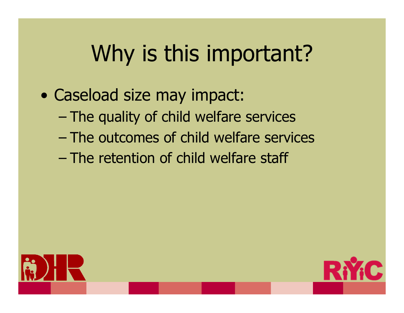# Why is this important?

- $\bullet$  Caseload size may impact:
	- –– The quality of child welfare services
	- –The outcomes of child welfare services
	- –The retention of child welfare staff



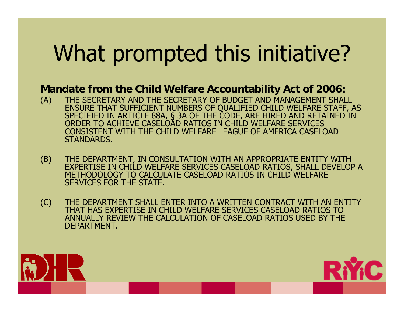# What prompted this initiative?

#### **Mandate from the Child Welfare Accountability Act of 2006:**

- (A) THE SECRETARY AND THE SECRETARY OF BUDGET AND MANAGEMENT SHALL ENSURE THAT SUFFICIENT NUMBERS OF QUALIFIED CHILD WELFARE STAFF, AS SPECIFIED IN ARTICLE 88A, § 3A OF THE CODE, ARE HIRED AND RETAINED IN ORDER TO ACHIEVE CASELOAD RATIOS IN CHILD WELFARE SERVICES CONSISTENT WITH THE CHILD WELFARE LEAGUE OF AMERICA CASELOAD STANDARDS.
- (B) THE DEPARTMENT, IN CONSULTATION WITH AN APPROPRIATE ENTITY WITH EXPERTISE IN CHILD WELFARE SERVICES CASELOAD RATIOS, SHALL DEVELOP A METHODOLOGY TO CALCULATE CASELOAD RATIOS IN CHILD WELFARE SERVICES FOR THE STATE.
- (C) THE DEPARTMENT SHALL ENTER INTO A WRITTEN CONTRACT WITH AN ENTITY THAT HAS EXPERTISE IN CHILD WELFARE SERVICES CASELOAD RATIOS TO ANNUALLY REVIEW THE CALCULATION OF CASELOAD RATIOS USED BY THE DEPARTMENT.



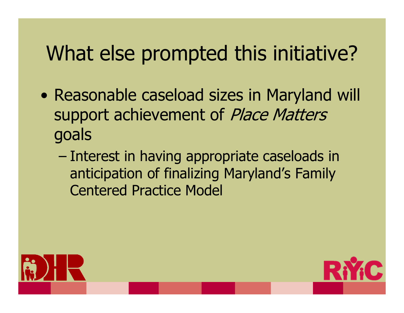#### What else prompted this initiative?

- $\bullet$  Reasonable caseload sizes in Maryland will support achievement of Place Matters goals
	- –– Interest in having appropriate caseloads in anticipation of finalizing Maryland's Family Centered Practice Model



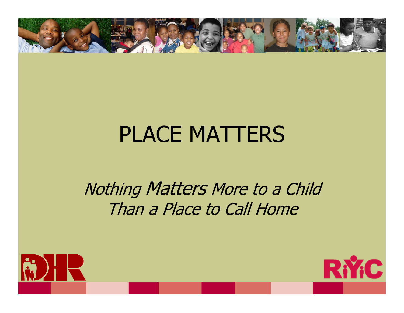

### PLACE MATTERS

#### Nothing Matters More to a Child Than a Place to Call Home



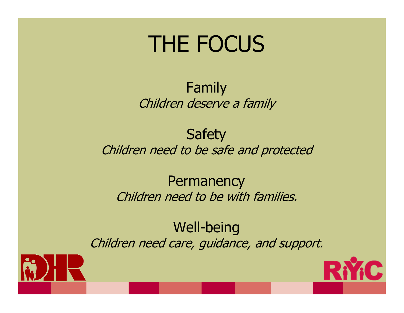### THE FOCUS

#### Family Children deserve a family

#### **Safety** Children need to be safe and protected

#### **Permanency** Children need to be with families.

#### Well-being Children need care, guidance, and support.



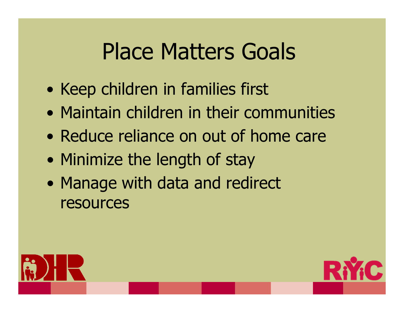## Place Matters Goals

- $\bullet$ • Keep children in families first
- Maintain children in their communities
- Reduce reliance on out of home care
- $\bullet$ • Minimize the length of stay
- $\bullet$ • Manage with data and redirect resources



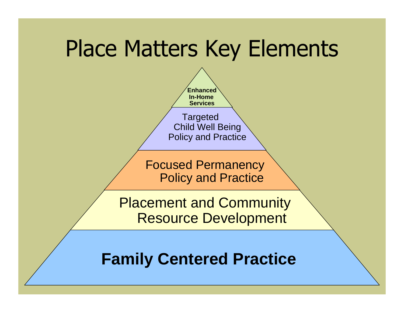### Place Matters Key Elements



**Family Centered Practice**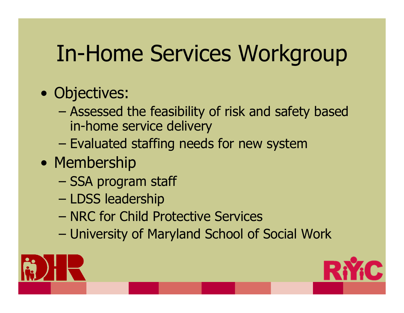# In-Home Services Workgroup

- Objectives:
	- – Assessed the feasibility of risk and safety based in-home service delivery
	- –– Evaluated staffing needs for new system
- Membership
	- –– SSA program staff
	- –– LDSS leadership
	- NRC for Child Protective Services
	- –University of Maryland School of Social Work



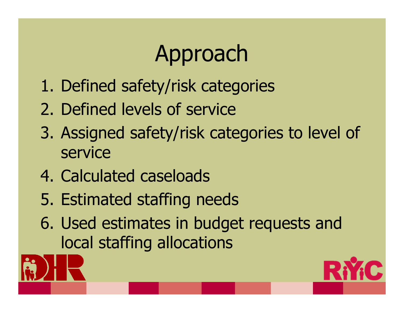# Approach

- 1. Defined safety/risk categories
- 2. Defined levels of service
- 3. Assigned safety/risk categories to level of service
- 4. Calculated caseloads
- 5. Estimated staffing needs
- 6. Used estimates in budget requests and local staffing allocations



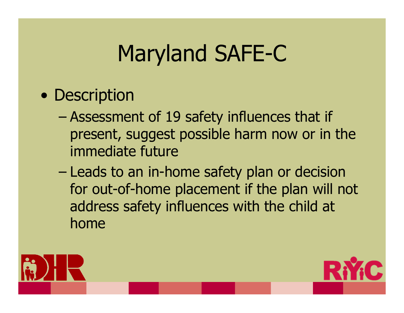# Maryland SAFE-C

#### • Description

- – Assessment of 19 safety influences that if present, suggest possible harm now or in the immediate future
- –– Leads to an in-home safety plan or decision for out-of-home placement if the plan will not address safety influences with the child at home



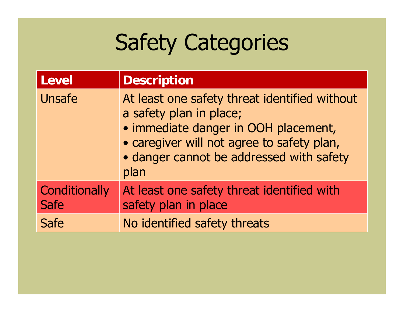# Safety Categories

| Level                        | <b>Description</b>                                                                                                                                                                                                 |
|------------------------------|--------------------------------------------------------------------------------------------------------------------------------------------------------------------------------------------------------------------|
| <b>Unsafe</b>                | At least one safety threat identified without<br>a safety plan in place;<br>· immediate danger in OOH placement,<br>• caregiver will not agree to safety plan,<br>• danger cannot be addressed with safety<br>plan |
| <b>Conditionally</b><br>Safe | At least one safety threat identified with<br>safety plan in place                                                                                                                                                 |
| <b>Safe</b>                  | No identified safety threats                                                                                                                                                                                       |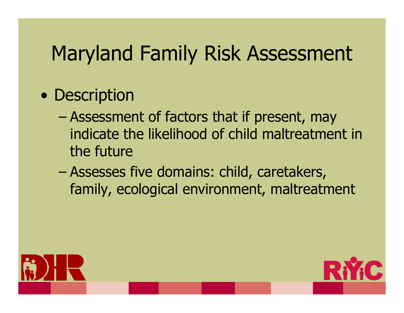#### Maryland Family Risk Assessment

#### • Description

- – Assessment of factors that if present, may indicate the likelihood of child maltreatment in the future
- – Assesses five domains: child, caretakers, family, ecological environment, maltreatment



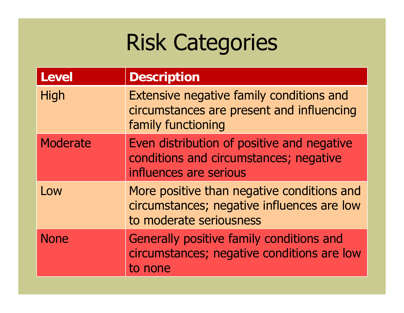## Risk Categories

| <b>Level</b>    | <b>Description</b>                                                                                                  |
|-----------------|---------------------------------------------------------------------------------------------------------------------|
| High            | Extensive negative family conditions and<br>circumstances are present and influencing<br>family functioning         |
| <b>Moderate</b> | Even distribution of positive and negative<br>conditions and circumstances; negative<br>influences are serious      |
| Low             | More positive than negative conditions and<br>circumstances; negative influences are low<br>to moderate seriousness |
| <b>None</b>     | Generally positive family conditions and<br>circumstances; negative conditions are low<br>to none                   |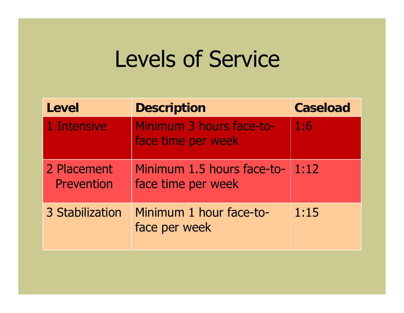### Levels of Service

| Level                     | <b>Description</b>                               | <b>Caseload</b> |
|---------------------------|--------------------------------------------------|-----------------|
| 1 Intensive               | Minimum 3 hours face-to-<br>face time per week   | 1:6             |
| 2 Placement<br>Prevention | Minimum 1.5 hours face-to-<br>face time per week | 1:12            |
| 3 Stabilization           | Minimum 1 hour face-to-<br>face per week         | 1:15            |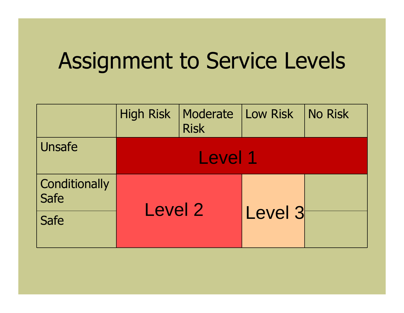## Assignment to Service Levels

|                       | <b>High Risk</b> | Moderate<br><b>Risk</b> | Low Risk | No Risk |
|-----------------------|------------------|-------------------------|----------|---------|
| Unsafe                | Level 1          |                         |          |         |
| Conditionally<br>Safe | Level 2          |                         |          |         |
| <b>Safe</b>           |                  |                         | Level 3  |         |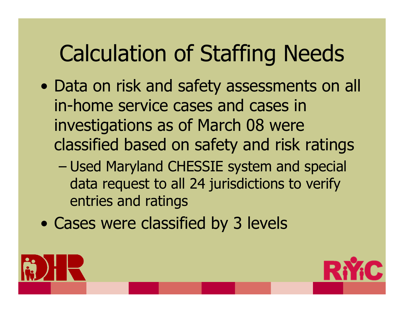# Calculation of Staffing Needs

- $\bullet$ • Data on risk and safety assessments on all in-home service cases and cases in investigations as of March 08 were classified based on safety and risk ratings
	- – Used Maryland CHESSIE system and special data request to all 24 jurisdictions to verify entries and ratings
- $\bullet$ Cases were classified by 3 levels



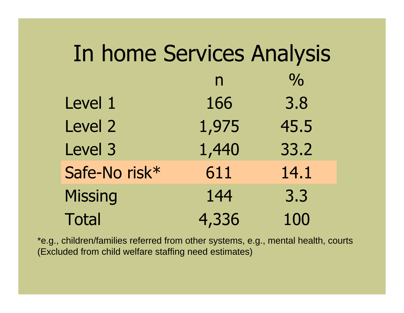| In home Services Analysis |              |               |  |  |
|---------------------------|--------------|---------------|--|--|
|                           | $\mathsf{n}$ | $\frac{0}{0}$ |  |  |
| Level 1                   | 166          | 3.8           |  |  |
| Level 2                   | 1,975        | 45.5          |  |  |
| Level 3                   | 1,440        | 33.2          |  |  |
| Safe-No risk*             | 611          | 14.1          |  |  |
| <b>Missing</b>            | 144          | 3.3           |  |  |
| <b>Total</b>              | 4,336        | 100           |  |  |

\*e.g., children/families referred from other systems, e.g., mental health, courts (Excluded from child welfare staffing need estimates)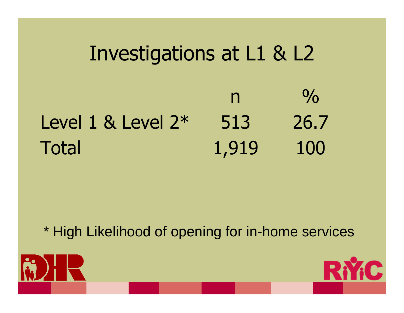#### Investigations at L1 & L2 n $\frac{0}{0}$ Level 1 & Level 2\* 513 26.7 Total 1,919 100

\* High Likelihood of opening for in-home services



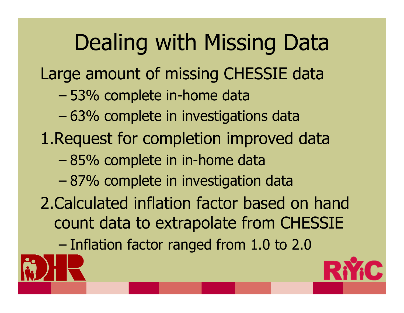Dealing with Missing Data Large amount of missing CHESSIE data – 53% complete in-home data – 63% complete in investigations data 1.Request for completion improved data – 85% complete in in-home data – 87% complete in investigation data 2.Calculated inflation factor based on hand count data to extrapolate from CHESSIE –Inflation factor ranged from 1.0 to 2.0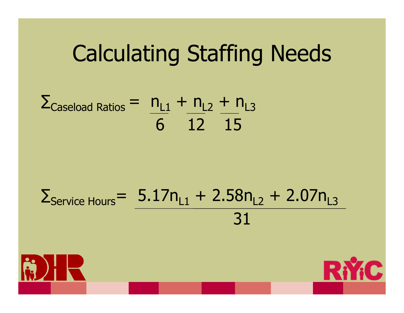### Calculating Staffing Needs

#### $\Sigma_{\textsf{Caseload Ratios}} = n_{\textsf{L1}} + n_{\textsf{L2}} + n_{\textsf{L3}}$ 6 12 1 5

#### $\Sigma_{\rm Service~Hours}$ =  $5.17$ n $_{\rm L1}$  + 2.58n $_{\rm L2}$  + 2.07n $_{\rm L3}$ 31



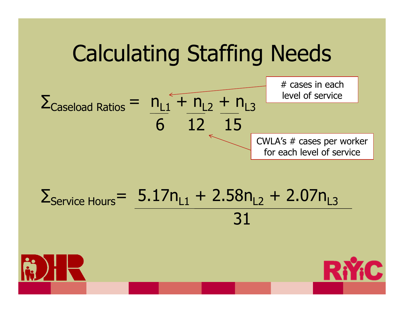## Calculating Staffing Needs



#### $\Sigma_{\rm Service~Hours}$ =  $5.17$ n $_{\rm L1}$  + 2.58n $_{\rm L2}$  + 2.07n $_{\rm L3}$ 31



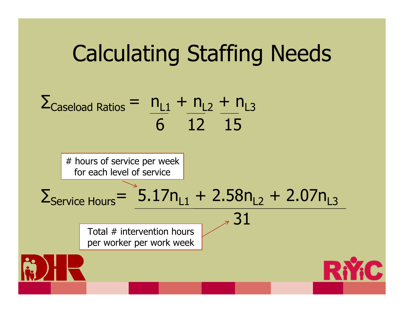## Calculating Staffing Needs



# hours of service per week for each level of service

#### $\Sigma_{\rm Service~Hours}$ =  $5.17$ n $_{\rm L1}$  + 2.58n $_{\rm L2}$  + 2.07n $_{\rm L3}$

Total # intervention hours per worker per work week

 $31$ 

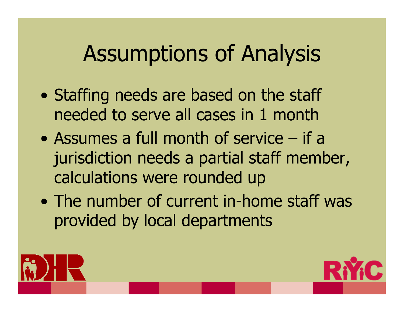## Assumptions of Analysis

- $\bullet$ • Staffing needs are based on the staff needed to serve all cases in 1 month
- Assumes a full month of service if a jurisdiction needs a partial staff member, calculations were rounded up
- The number of current in-home staff was provided by local departments



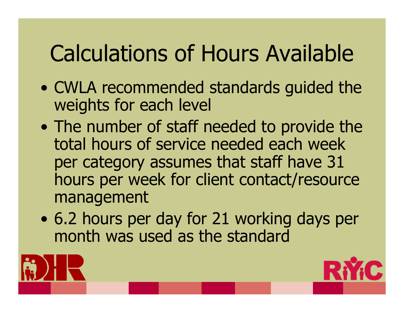# Calculations of Hours Available

- $\bullet$  CWLA recommended standards guided the weights for each level
- $\bullet$ • The number of staff needed to provide the total hours of service needed each week per category assumes that staff have 31 hours per week for client contact/resource management
- $\bullet$  6.2 hours per day for 21 working days per month was used as the standard



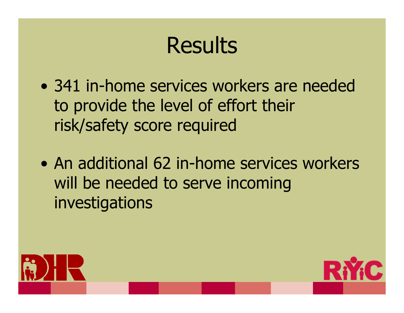## Results

- 341 in-home services workers are needed to provide the level of effort their risk/safety score required
- An additional 62 in-home services workers will be needed to serve incoming investigations



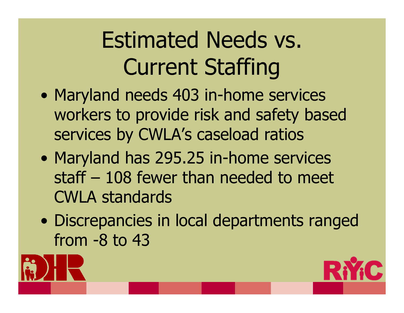# Estimated Needs vs. Current Staffing

- $\bullet$ • Maryland needs 403 in-home services workers to provide risk and safety based services by CWLA's caseload ratios
- $\bullet$ • Maryland has 295.25 in-home services staff – 108 fewer than needed to meet CWLA standards
- $\bullet$  Discrepancies in local departments ranged from -8 to 43



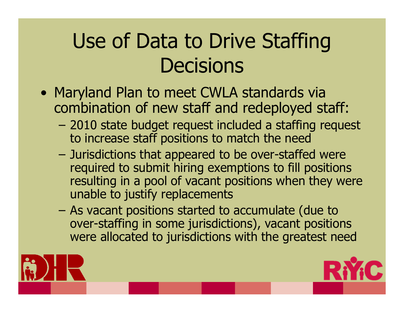#### Use of Data to Drive Staffing **Decisions**

- Maryland Plan to meet CWLA standards via combination of new staff and redeployed staff:
	- – 2010 state budget request included a staffing request to increase staff positions to match the need
	- Jurisdictions that appeared to be over-staffed were required to submit hiring exemptions to fill positions resulting in a pool of vacant positions when they were unable to justify replacements
	- – As vacant positions started to accumulate (due to over-staffing in some jurisdictions), vacant positions were allocated to jurisdictions with the greatest need



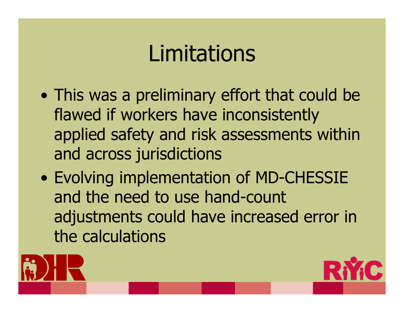## **Limitations**

- $\bullet$  This was a preliminary effort that could be flawed if workers have inconsistently applied safety and risk assessments within and across jurisdictions
- $\bullet$  Evolving implementation of MD-CHESSIE and the need to use hand-count adjustments could have increased error in the calculations



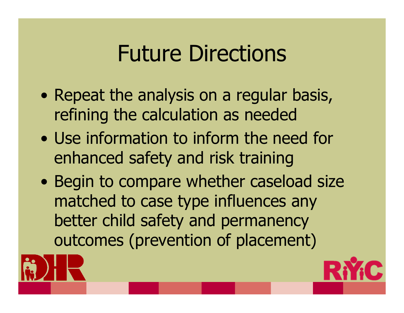## Future Directions

- $\bullet$ • Repeat the analysis on a regular basis, refining the calculation as needed
- Use information to inform the need for enhanced safety and risk training
- $\bullet$ • Begin to compare whether caseload size matched to case type influences any better child safety and permanency outcomes (prevention of placement)



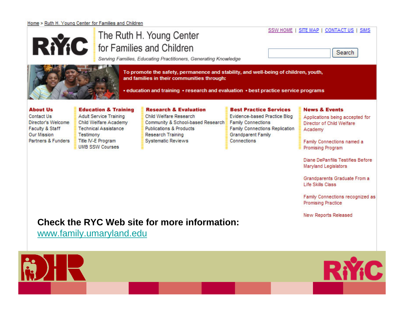#### Home > Ruth H. Young Center for Families and Children



#### The Ruth H. Young Center for Families and Children

| SSW HOME   SITE MAP   CONTACT US   SIMS |
|-----------------------------------------|
| Search                                  |

Serving Families, Educating Practitioners, Generating Knowledge



To promote the safety, permanence and stability, and well-being of children, youth, and families in their communities through:

• education and training • research and evaluation • best practice service programs

#### **About Us**

**Education & Training** 

#### **Research & Evaluation**

Contact Us Director's Welcome Faculty & Staff **Our Mission** Partners & Funders

**Adult Service Training Child Welfare Academy Technical Assistance** Testimony Title IV-E Program **UMB SSW Courses** 

Child Welfare Research Community & School-based Research Family Connections **Publications & Products** Research Training **Systematic Reviews** 

#### **Best Practice Services**

Evidence-based Practice Blog **Family Connections Replication Grandparent Family** Connections

#### **News & Events**

Applications being accepted for Director of Child Welfare Academy

Family Connections named a Promising Program

Diane DePanfilis Testifies Before Maryland Legislators

Grandparents Graduate From a **Life Skills Class** 

Family Connections recognized as **Promising Practice** 

New Reports Released

#### **Check the RYC Web site for more information:**

**Check back on the web site for more results**[www.family.umaryland.edu](http://www.family.umaryland.edu/)